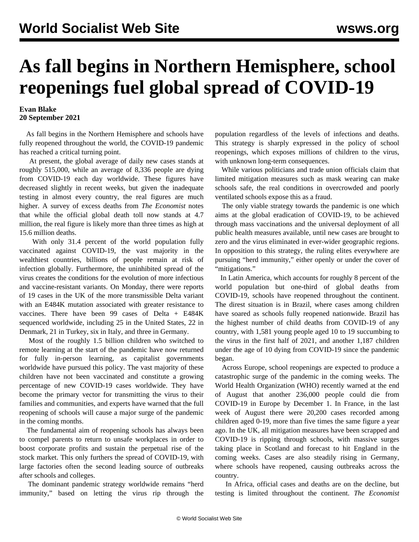## **As fall begins in Northern Hemisphere, school reopenings fuel global spread of COVID-19**

## **Evan Blake 20 September 2021**

 As fall begins in the Northern Hemisphere and schools have fully reopened throughout the world, the COVID-19 pandemic has reached a critical turning point.

 At present, the global average of daily new cases stands at roughly 515,000, while an average of 8,336 people are dying from COVID-19 each day worldwide. These figures have decreased slightly in recent weeks, but given the inadequate testing in almost every country, the real figures are much higher. A survey of excess deaths from *The Economist* notes that while the official global death toll now stands at 4.7 million, the real figure is likely more than three times as high at 15.6 million deaths.

 With only 31.4 percent of the world population fully vaccinated against COVID-19, the vast majority in the wealthiest countries, billions of people remain at risk of infection globally. Furthermore, the uninhibited spread of the virus creates the conditions for the evolution of more infectious and vaccine-resistant variants. On Monday, there were reports of 19 cases in the UK of the more transmissible Delta variant with an E484K mutation associated with greater resistance to vaccines. There have been 99 cases of Delta + E484K sequenced worldwide, including 25 in the United States, 22 in Denmark, 21 in Turkey, six in Italy, and three in Germany.

 Most of the roughly 1.5 billion children who switched to remote learning at the start of the pandemic have now returned for fully in-person learning, as capitalist governments worldwide have pursued this policy. The vast majority of these children have not been vaccinated and constitute a growing percentage of new COVID-19 cases worldwide. They have become the primary vector for transmitting the virus to their families and communities, and experts have warned that the full reopening of schools will cause a major surge of the pandemic in the coming months.

 The fundamental aim of reopening schools has always been to compel parents to return to unsafe workplaces in order to boost corporate profits and sustain the perpetual rise of the stock market. This only furthers the spread of COVID-19, with large factories often the second leading source of outbreaks after schools and colleges.

 The dominant pandemic strategy worldwide remains "herd immunity," based on letting the virus rip through the population regardless of the levels of infections and deaths. This strategy is sharply expressed in the policy of school reopenings, which exposes millions of children to the virus, with unknown long-term consequences.

 While various politicians and trade union officials claim that limited mitigation measures such as mask wearing can make schools safe, the real conditions in overcrowded and poorly ventilated schools expose this as a fraud.

 The only viable strategy towards the pandemic is one which aims at the global eradication of COVID-19, to be achieved through mass vaccinations and the universal deployment of all public health measures available, until new cases are brought to zero and the virus eliminated in ever-wider geographic regions. In opposition to this strategy, the ruling elites everywhere are pursuing "herd immunity," either openly or under the cover of "mitigations."

 In Latin America, which accounts for roughly 8 percent of the world population but one-third of global deaths from COVID-19, schools have reopened throughout the continent. The direst situation is in Brazil, where cases among children have soared as schools fully reopened nationwide. Brazil has the highest number of child deaths from COVID-19 of any country, with 1,581 young people aged 10 to 19 succumbing to the virus in the first half of 2021, and another 1,187 children under the age of 10 dying from COVID-19 since the pandemic began.

 Across Europe, school reopenings are expected to produce a catastrophic surge of the pandemic in the coming weeks. The World Health Organization (WHO) recently warned at the end of August that another 236,000 people could die from COVID-19 in Europe by December 1. In France, in the last week of August there were 20,200 cases recorded among children aged 0-19, more than five times the same figure a year ago. In the UK, all mitigation measures have been scrapped and COVID-19 is ripping through schools, with massive surges taking place in Scotland and forecast to hit England in the coming weeks. Cases are also steadily rising in Germany, where schools have reopened, causing outbreaks across the country.

 In Africa, official cases and deaths are on the decline, but testing is limited throughout the continent. *The Economist*